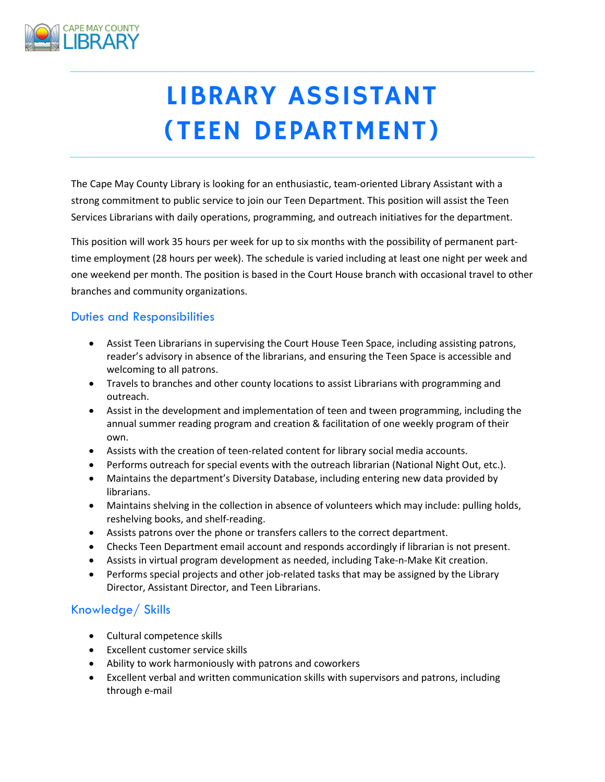

# LIBRARY ASSISTANT (TEEN DEPARTMENT)

The Cape May County Library is looking for an enthusiastic, team-oriented Library Assistant with a strong commitment to public service to join our Teen Department. This position will assist the Teen Services Librarians with daily operations, programming, and outreach initiatives for the department.

This position will work 35 hours per week for up to six months with the possibility of permanent parttime employment (28 hours per week). The schedule is varied including at least one night per week and one weekend per month. The position is based in the Court House branch with occasional travel to other branches and community organizations.

## Duties and Responsibilities

- Assist Teen Librarians in supervising the Court House Teen Space, including assisting patrons, reader's advisory in absence of the librarians, and ensuring the Teen Space is accessible and welcoming to all patrons.
- Travels to branches and other county locations to assist Librarians with programming and outreach.
- Assist in the development and implementation of teen and tween programming, including the annual summer reading program and creation & facilitation of one weekly program of their own.
- Assists with the creation of teen-related content for library social media accounts.
- Performs outreach for special events with the outreach librarian (National Night Out, etc.).
- Maintains the department's Diversity Database, including entering new data provided by librarians.
- Maintains shelving in the collection in absence of volunteers which may include: pulling holds, reshelving books, and shelf-reading.
- Assists patrons over the phone or transfers callers to the correct department.
- Checks Teen Department email account and responds accordingly if librarian is not present.
- Assists in virtual program development as needed, including Take-n-Make Kit creation.
- Performs special projects and other job-related tasks that may be assigned by the Library Director, Assistant Director, and Teen Librarians.

## Knowledge/ Skills

- Cultural competence skills
- Excellent customer service skills
- Ability to work harmoniously with patrons and coworkers
- Excellent verbal and written communication skills with supervisors and patrons, including through e-mail